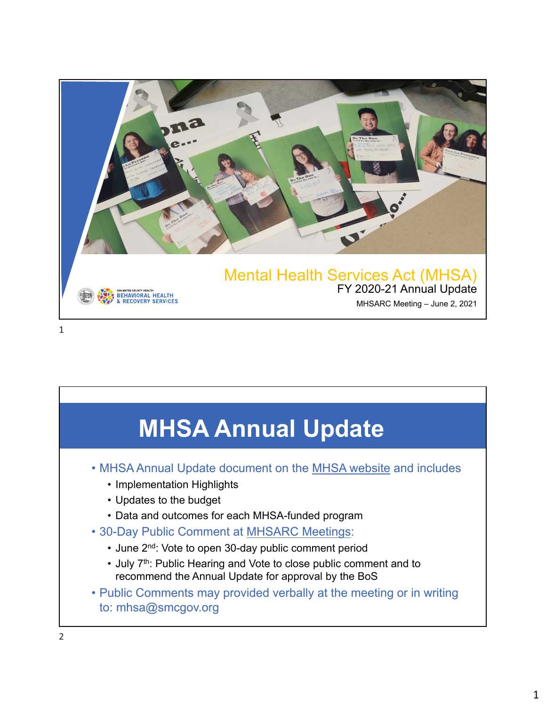

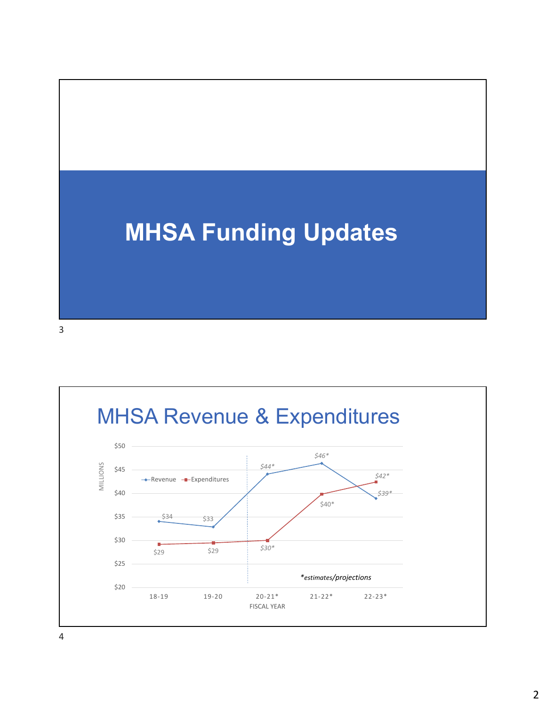## **MHSA Funding Updates**

3



4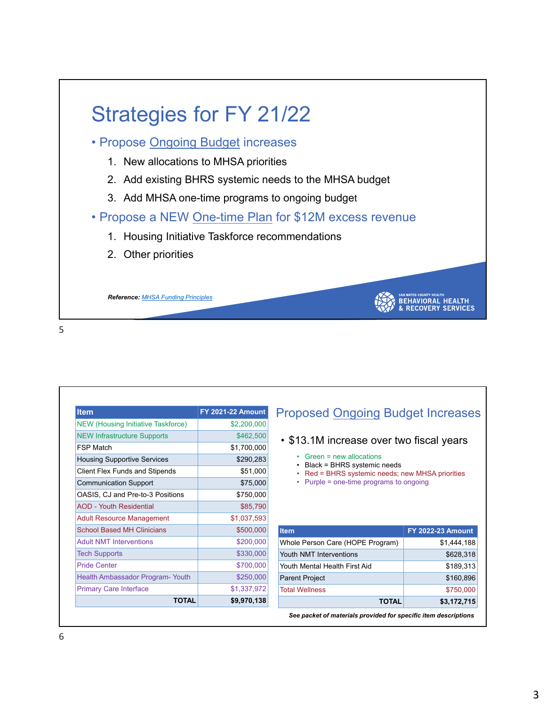

5

| <b>Item</b>                               | <b>FY 2021-22 Amount</b> |
|-------------------------------------------|--------------------------|
| <b>NEW (Housing Initiative Taskforce)</b> | \$2,200,000              |
| <b>NEW Infrastructure Supports</b>        | \$462,500                |
| <b>FSP Match</b>                          | \$1,700,000              |
| <b>Housing Supportive Services</b>        | \$290,283                |
| <b>Client Flex Funds and Stipends</b>     | \$51,000                 |
| <b>Communication Support</b>              | \$75,000                 |
| OASIS, CJ and Pre-to-3 Positions          | \$750,000                |
| <b>AOD - Youth Residential</b>            | \$85,790                 |
| <b>Adult Resource Management</b>          | \$1,037,593              |
| <b>School Based MH Clinicians</b>         | \$500,000                |
| <b>Adult NMT Interventions</b>            | \$200,000                |
| <b>Tech Supports</b>                      | \$330,000                |
| <b>Pride Center</b>                       | \$700,000                |
| Health Ambassador Program-Youth           | \$250,000                |
| <b>Primary Care Interface</b>             | \$1,337,972              |
| <b>TOTAL</b>                              | \$9,970,138              |

## Proposed Ongoing Budget Increases

## • \$13.1M increase over two fiscal years

- Green = new allocations
- Black = BHRS systemic needs
- Red = BHRS systemic needs; new MHSA priorities
- Purple = one-time programs to ongoing

| <b>FY 2022-23 Amount</b> |
|--------------------------|
| \$1,444,188              |
| \$628,318                |
| \$189,313                |
| \$160,896                |
| \$750,000                |
| \$3,172,715              |
|                          |

*See packet of materials provided for specific item descriptions*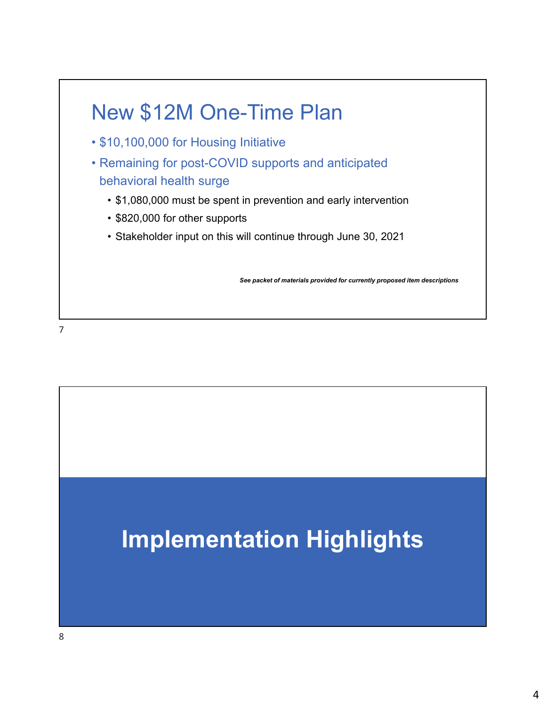

7

## **Implementation Highlights**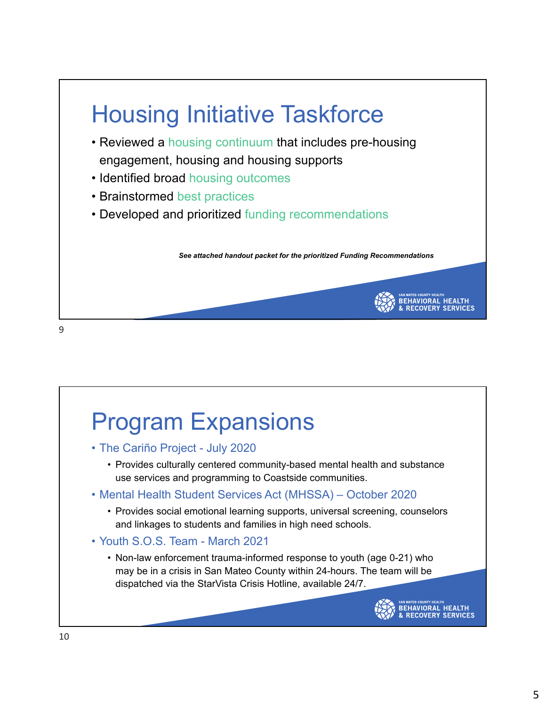